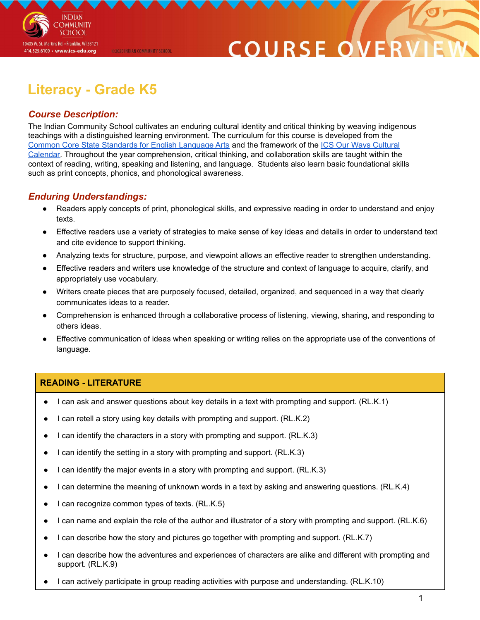

### COURSE O

### **Literacy - Grade K5**

@2020 INDIAN COMMUNITY SCHOOL

#### *Course Description:*

The Indian Community School cultivates an enduring cultural identity and critical thinking by weaving indigenous teachings with a distinguished learning environment. The curriculum for this course is developed from the Common Core State [Standards](http://www.corestandards.org/ELA-Literacy/) for English Language Arts and the framework of the ICS Our Ways [Cultural](https://drive.google.com/open?id=0B7pONXiRIufTT3VHOXBBeG9USHMzbDNIUi1nV0NTbURCMFRZ) [Calendar.](https://drive.google.com/open?id=0B7pONXiRIufTT3VHOXBBeG9USHMzbDNIUi1nV0NTbURCMFRZ) Throughout the year comprehension, critical thinking, and collaboration skills are taught within the context of reading, writing, speaking and listening, and language. Students also learn basic foundational skills such as print concepts, phonics, and phonological awareness.

#### *Enduring Understandings:*

- Readers apply concepts of print, phonological skills, and expressive reading in order to understand and enjoy texts.
- Effective readers use a variety of strategies to make sense of key ideas and details in order to understand text and cite evidence to support thinking.
- Analyzing texts for structure, purpose, and viewpoint allows an effective reader to strengthen understanding.
- Effective readers and writers use knowledge of the structure and context of language to acquire, clarify, and appropriately use vocabulary.
- Writers create pieces that are purposely focused, detailed, organized, and sequenced in a way that clearly communicates ideas to a reader.
- Comprehension is enhanced through a collaborative process of listening, viewing, sharing, and responding to others ideas.
- Effective communication of ideas when speaking or writing relies on the appropriate use of the conventions of language.

#### **READING - LITERATURE**

- I can ask and answer questions about key details in a text with prompting and support. (RL.K.1)
- I can retell a story using key details with prompting and support. (RL.K.2)
- I can identify the characters in a story with prompting and support. (RL.K.3)
- I can identify the setting in a story with prompting and support. (RL.K.3)
- I can identify the major events in a story with prompting and support. (RL.K.3)
- I can determine the meaning of unknown words in a text by asking and answering questions. (RL.K.4)
- I can recognize common types of texts. (RL.K.5)
- I can name and explain the role of the author and illustrator of a story with prompting and support. (RL.K.6)
- I can describe how the story and pictures go together with prompting and support. (RL.K.7)
- I can describe how the adventures and experiences of characters are alike and different with prompting and support. (RL.K.9)
- I can actively participate in group reading activities with purpose and understanding. (RL.K.10)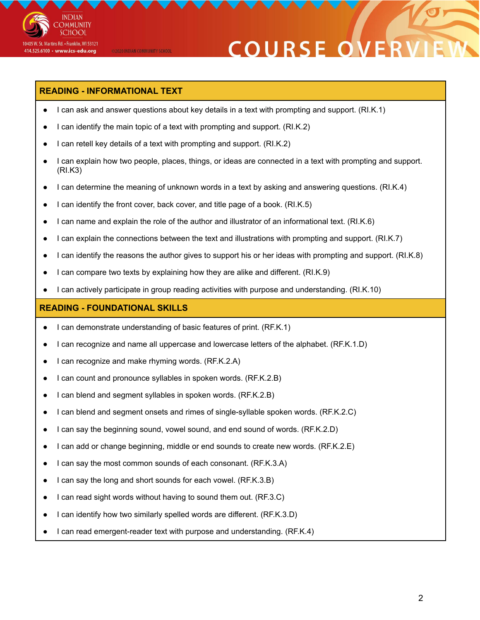

## **COURSE OVE**

#### **READING - INFORMATIONAL TEXT**

@2020 INDIAN COMMUNITY SCHOOL

- I can ask and answer questions about key details in a text with prompting and support. (RI.K.1)
- I can identify the main topic of a text with prompting and support. (RI.K.2)
- I can retell key details of a text with prompting and support. (RI.K.2)
- I can explain how two people, places, things, or ideas are connected in a text with prompting and support. (RI.K3)
- I can determine the meaning of unknown words in a text by asking and answering questions. (RI.K.4)
- I can identify the front cover, back cover, and title page of a book. (RI.K.5)
- I can name and explain the role of the author and illustrator of an informational text. (RI.K.6)
- I can explain the connections between the text and illustrations with prompting and support. (RI.K.7)
- I can identify the reasons the author gives to support his or her ideas with prompting and support. (RI.K.8)
- I can compare two texts by explaining how they are alike and different. (RI.K.9)
- I can actively participate in group reading activities with purpose and understanding. (RI.K.10)

#### **READING - FOUNDATIONAL SKILLS**

- I can demonstrate understanding of basic features of print. (RF.K.1)
- I can recognize and name all uppercase and lowercase letters of the alphabet. (RF.K.1.D)
- I can recognize and make rhyming words. (RF.K.2.A)
- I can count and pronounce syllables in spoken words. (RF.K.2.B)
- I can blend and segment syllables in spoken words. (RF.K.2.B)
- I can blend and segment onsets and rimes of single-syllable spoken words. (RF.K.2.C)
- I can say the beginning sound, vowel sound, and end sound of words. (RF.K.2.D)
- I can add or change beginning, middle or end sounds to create new words. (RF.K.2.E)
- I can say the most common sounds of each consonant. (RF.K.3.A)
- I can say the long and short sounds for each vowel. (RF.K.3.B)
- I can read sight words without having to sound them out. (RF.3.C)
- I can identify how two similarly spelled words are different. (RF.K.3.D)
- I can read emergent-reader text with purpose and understanding. (RF.K.4)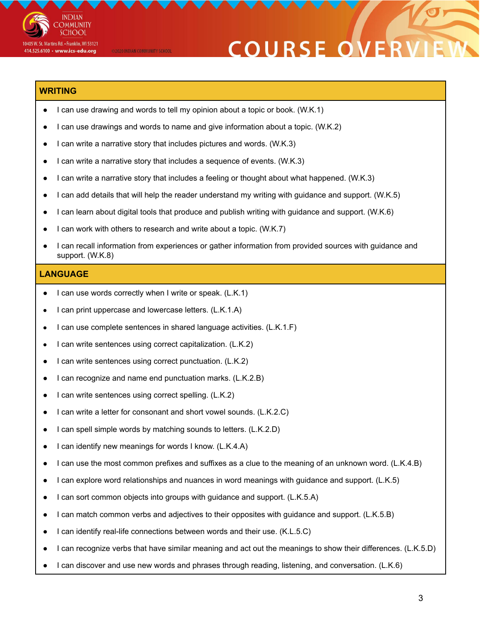

#### @2020 INDIAN COMMUNITY SCHOOL

# **COURSE OVE**

#### **WRITING**

- I can use drawing and words to tell my opinion about a topic or book. (W.K.1)
- I can use drawings and words to name and give information about a topic. (W.K.2)
- I can write a narrative story that includes pictures and words. (W.K.3)
- I can write a narrative story that includes a sequence of events. (W.K.3)
- I can write a narrative story that includes a feeling or thought about what happened. (W.K.3)
- I can add details that will help the reader understand my writing with guidance and support. (W.K.5)
- I can learn about digital tools that produce and publish writing with guidance and support. (W.K.6)
- I can work with others to research and write about a topic. (W.K.7)
- I can recall information from experiences or gather information from provided sources with guidance and support. (W.K.8)

#### **LANGUAGE**

- I can use words correctly when I write or speak. (L.K.1)
- I can print uppercase and lowercase letters. (L.K.1.A)
- I can use complete sentences in shared language activities. (L.K.1.F)
- I can write sentences using correct capitalization. (L.K.2)
- I can write sentences using correct punctuation. (L.K.2)
- I can recognize and name end punctuation marks. (L.K.2.B)
- I can write sentences using correct spelling. (L.K.2)
- I can write a letter for consonant and short vowel sounds. (L.K.2.C)
- I can spell simple words by matching sounds to letters. (L.K.2.D)
- I can identify new meanings for words I know. (L.K.4.A)
- I can use the most common prefixes and suffixes as a clue to the meaning of an unknown word. (L.K.4.B)
- I can explore word relationships and nuances in word meanings with guidance and support. (L.K.5)
- I can sort common objects into groups with guidance and support. (L.K.5.A)
- I can match common verbs and adjectives to their opposites with guidance and support. (L.K.5.B)
- I can identify real-life connections between words and their use. (K.L.5.C)
- I can recognize verbs that have similar meaning and act out the meanings to show their differences. (L.K.5.D)
- I can discover and use new words and phrases through reading, listening, and conversation. (L.K.6)